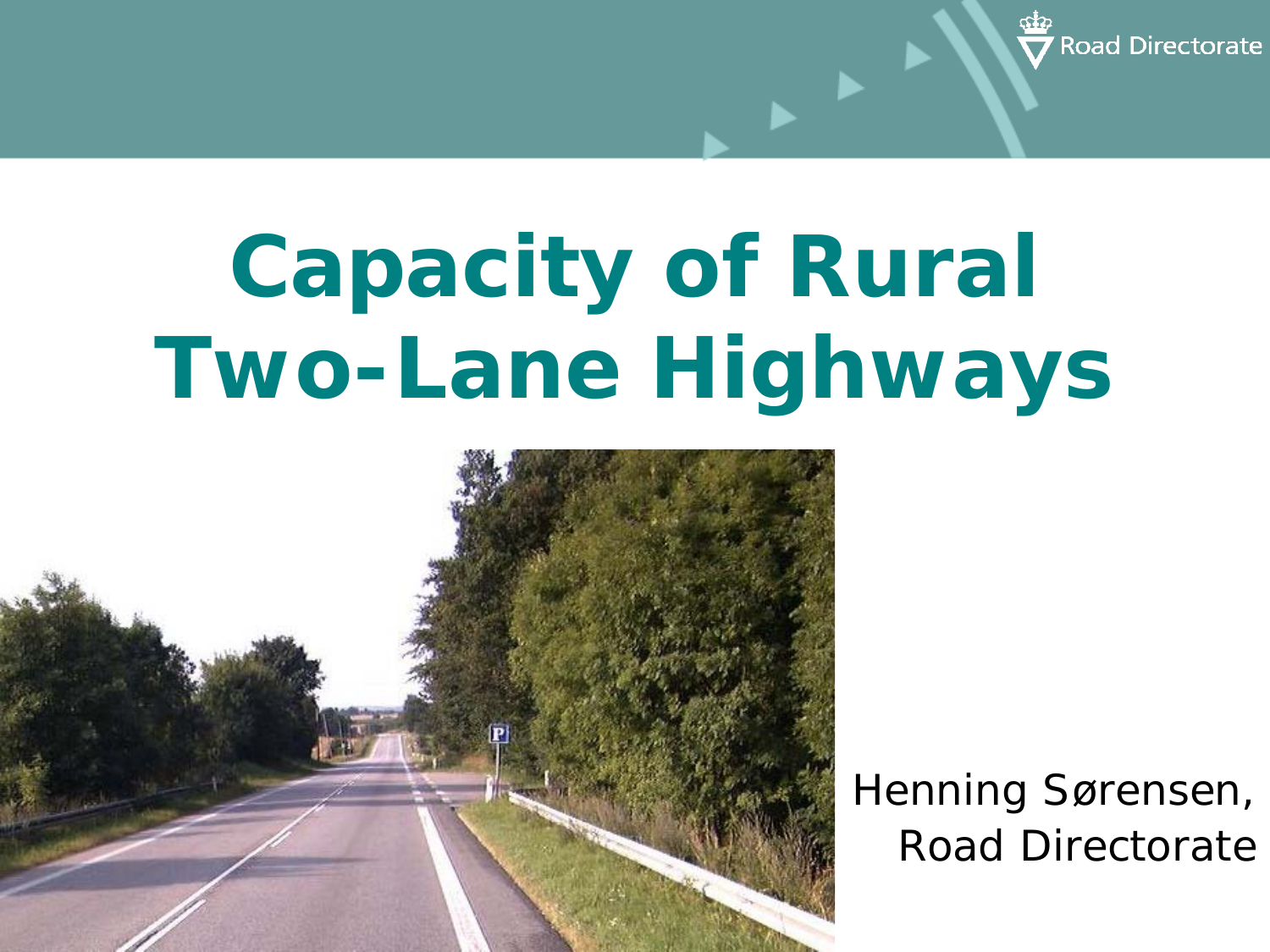

# **Capacity of Rural Two-Lane Highways**



Henning Sørensen, Road Directorate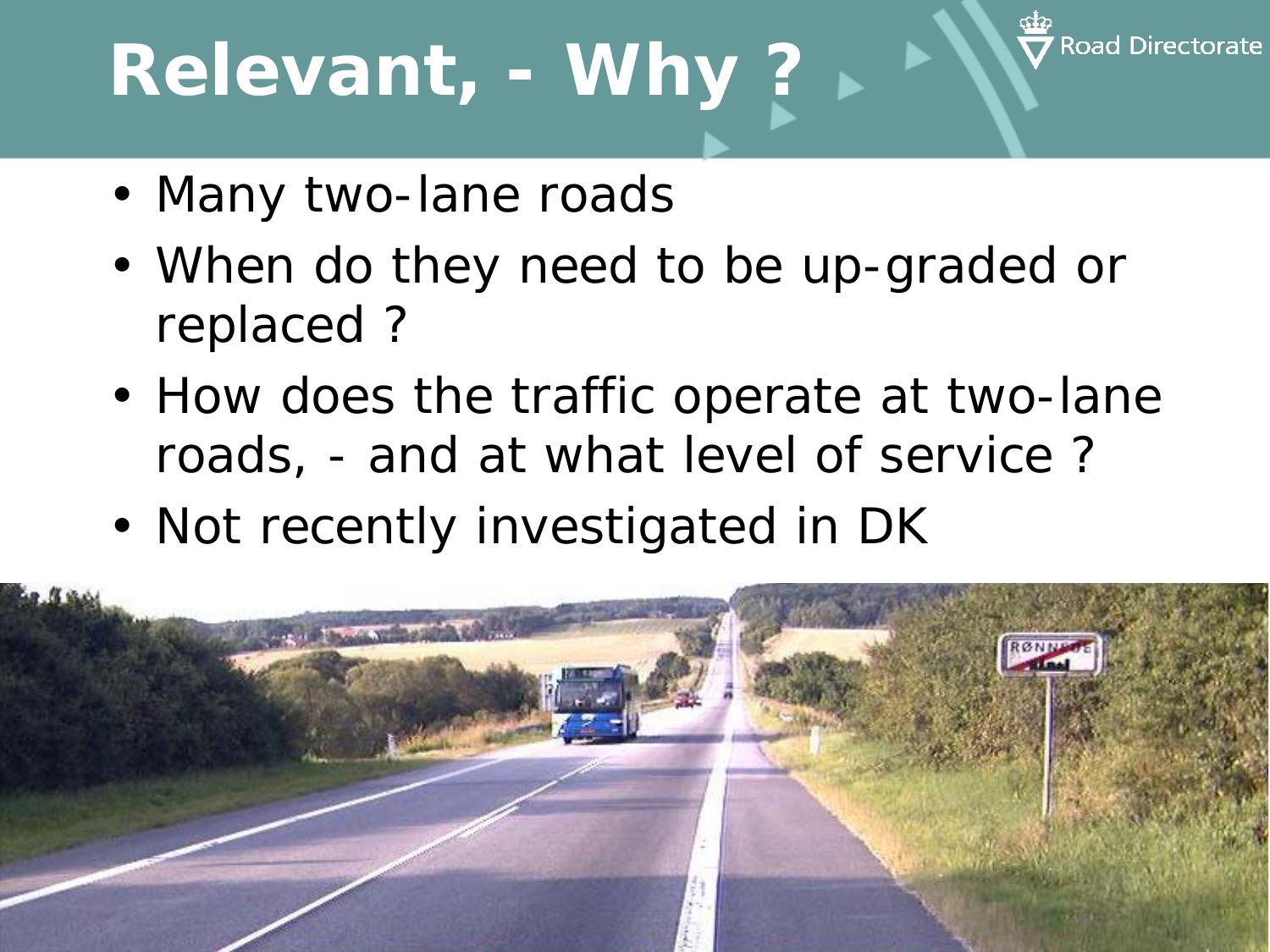# **Relevant, - Why ?**



- Many two-lane roads
- When do they need to be up-graded or replaced ?
- How does the traffic operate at two-lane roads, - and at what level of service ?
- Not recently investigated in DK

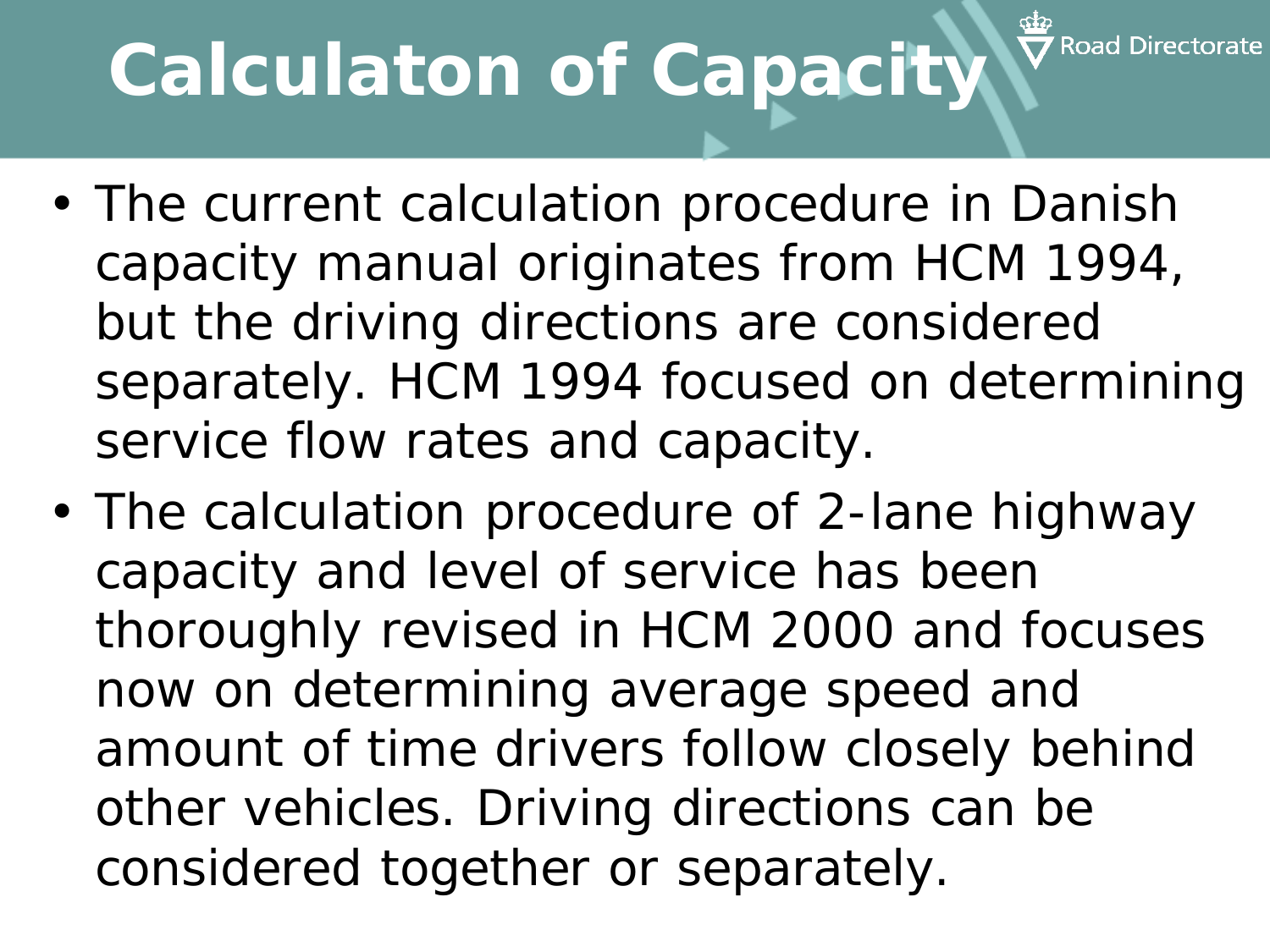# **Calculaton of Capacity**

- The current calculation procedure in Danish capacity manual originates from HCM 1994, but the driving directions are considered separately. HCM 1994 focused on determining service flow rates and capacity.
- The calculation procedure of 2-lane highway capacity and level of service has been thoroughly revised in HCM 2000 and focuses now on determining average speed and amount of time drivers follow closely behind other vehicles. Driving directions can be considered together or separately.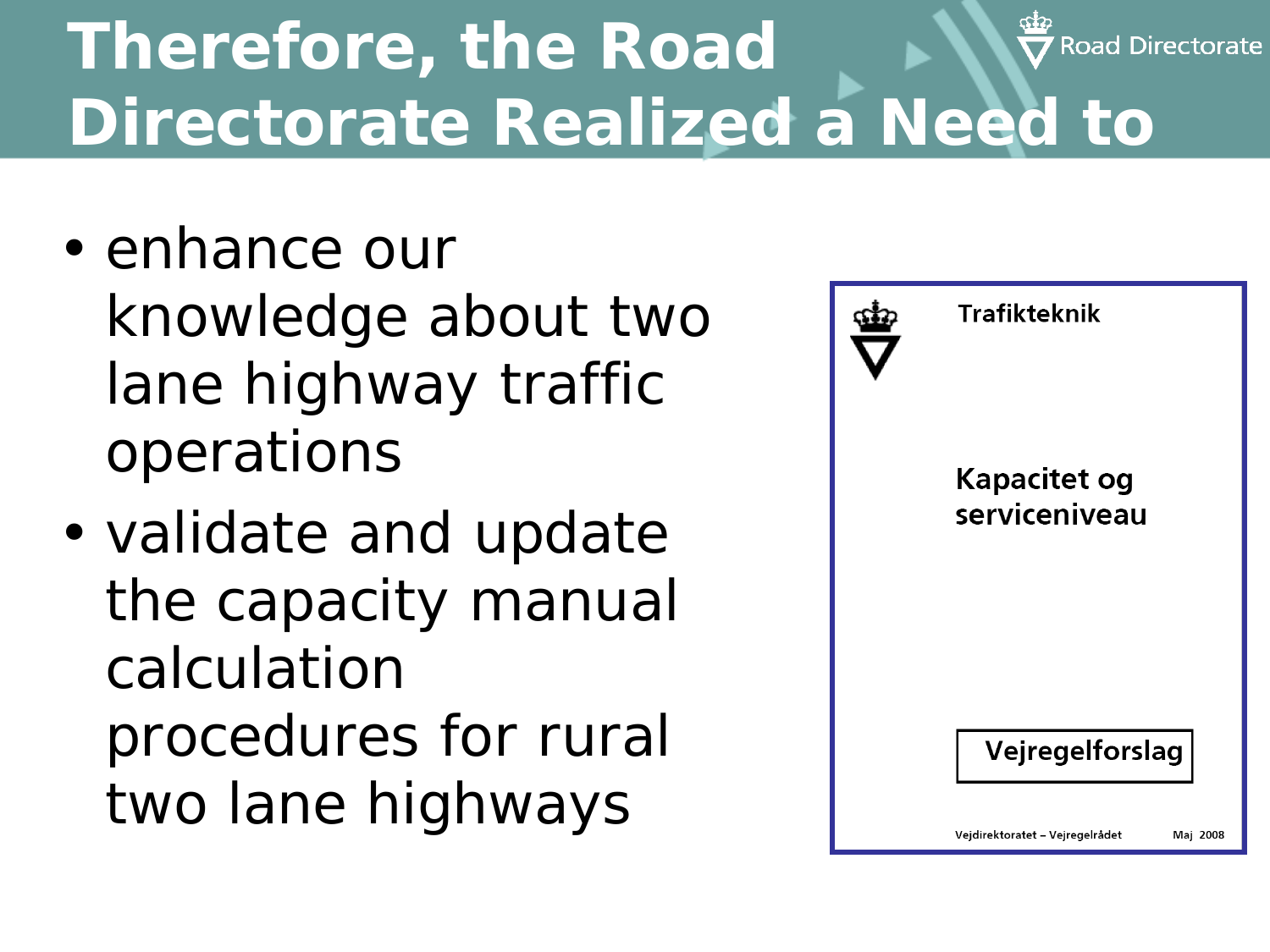#### **Therefore, the Road**  Road Directorate **Directorate Realized a Need to**

- enhance our knowledge about two lane highway traffic operations
- validate and update the capacity manual calculation procedures for rural two lane highways

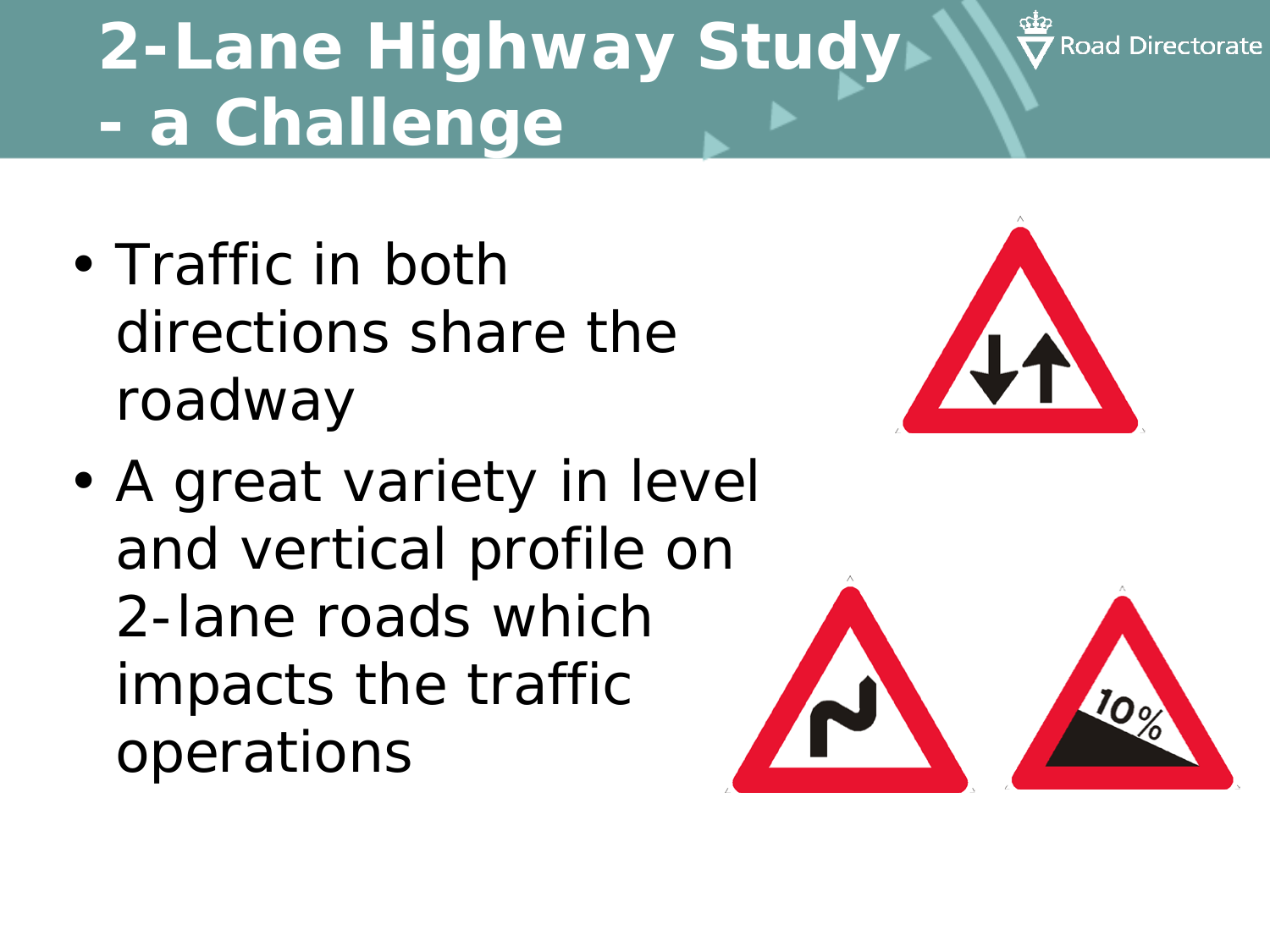### **2-Lane Highway Study - a Challenge**

- Traffic in both directions share the roadway
- A great variety in level and vertical profile on 2-lane roads which impacts the traffic operations



**Road Directorate** 

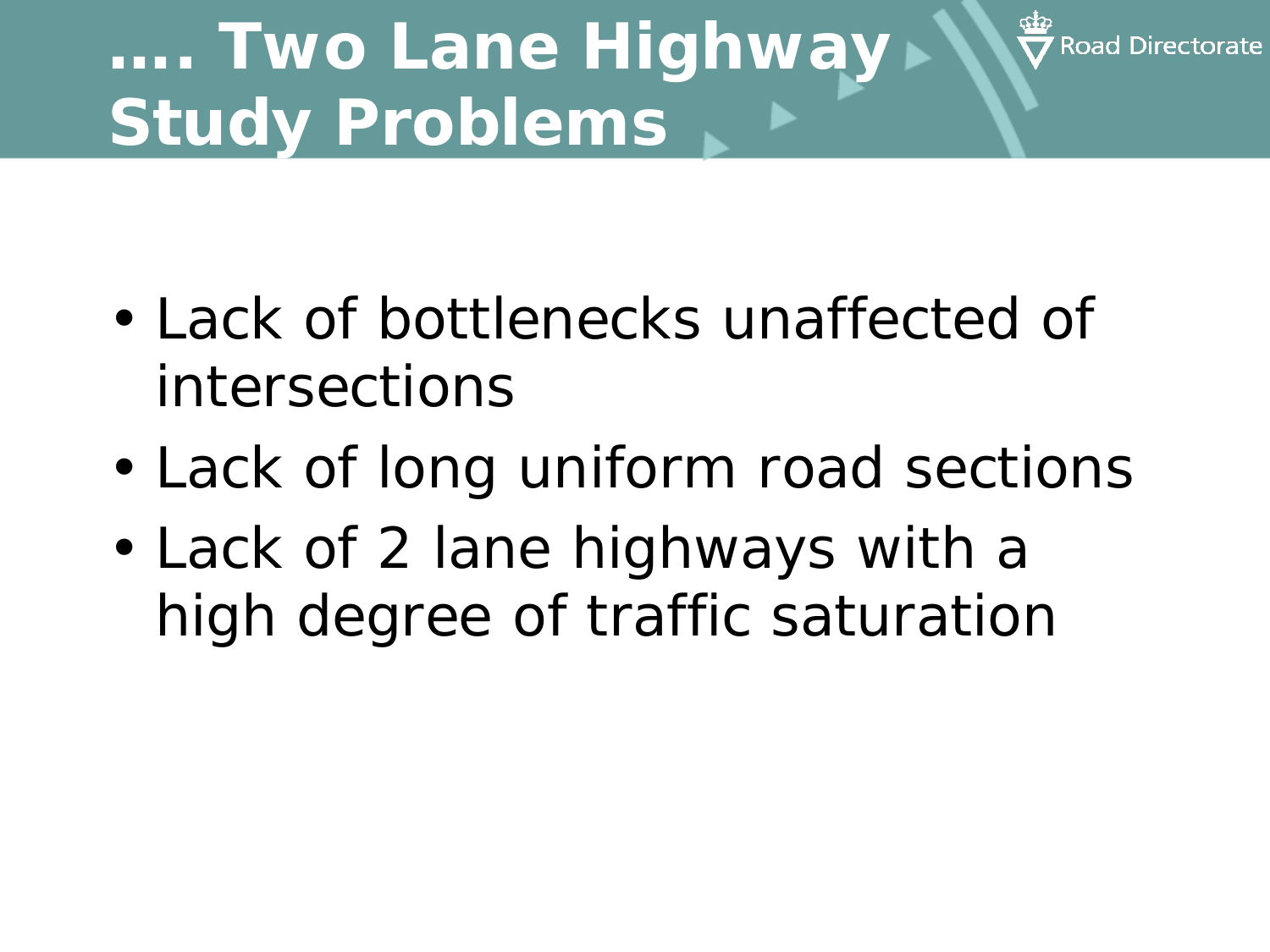### **…. Two Lane Highway Study Problems**

• Lack of bottlenecks unaffected of intersections

**Road Directo** 

- Lack of long uniform road sections
- Lack of 2 lane highways with a high degree of traffic saturation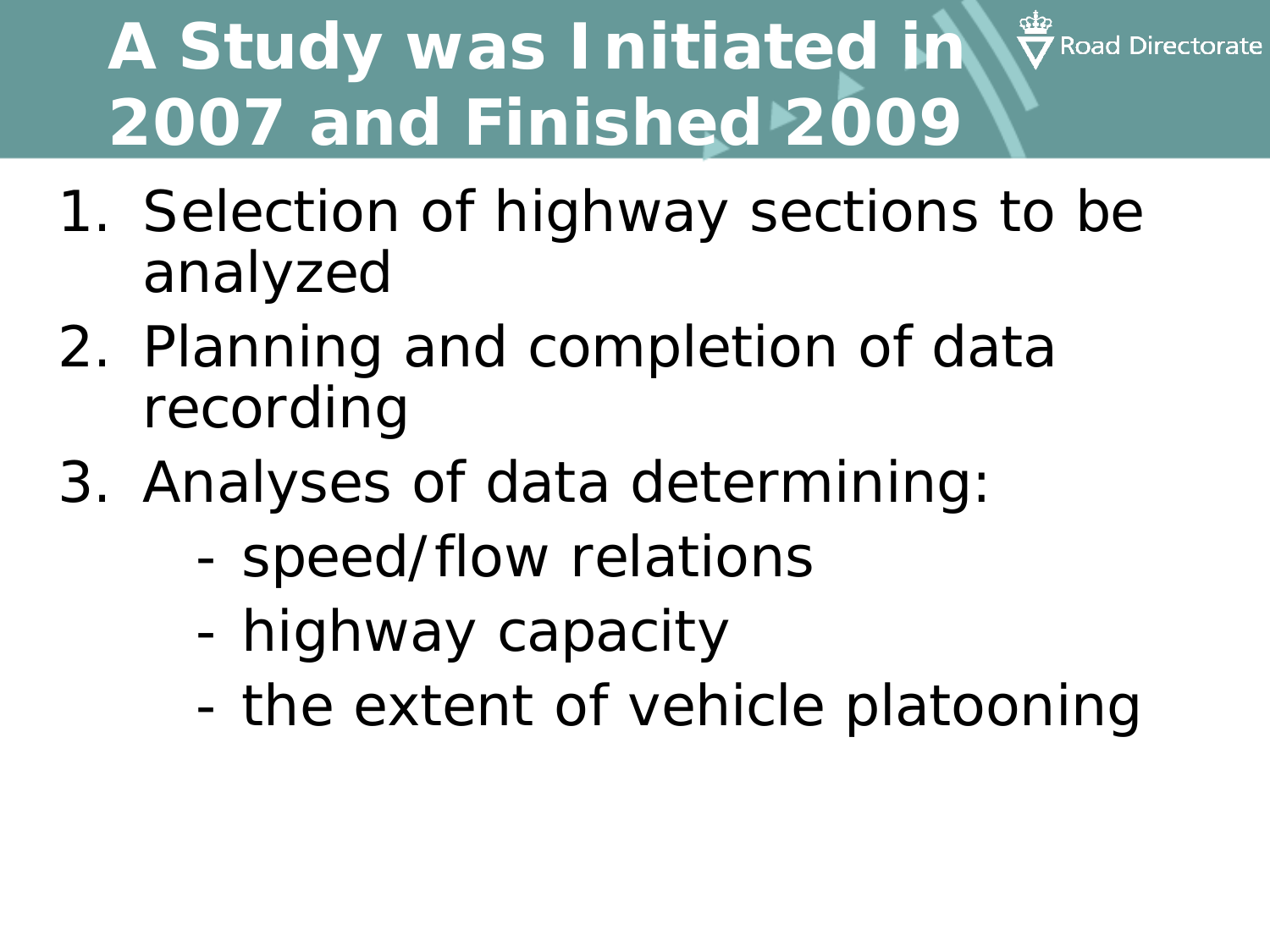#### stip<br>▼ Road Directorate **A Study was Initiated in 2007 and Finished 2009**

- 1. Selection of highway sections to be analyzed
- 2. Planning and completion of data recording
- 3. Analyses of data determining:
	- speed/flow relations
	- highway capacity
	- the extent of vehicle platooning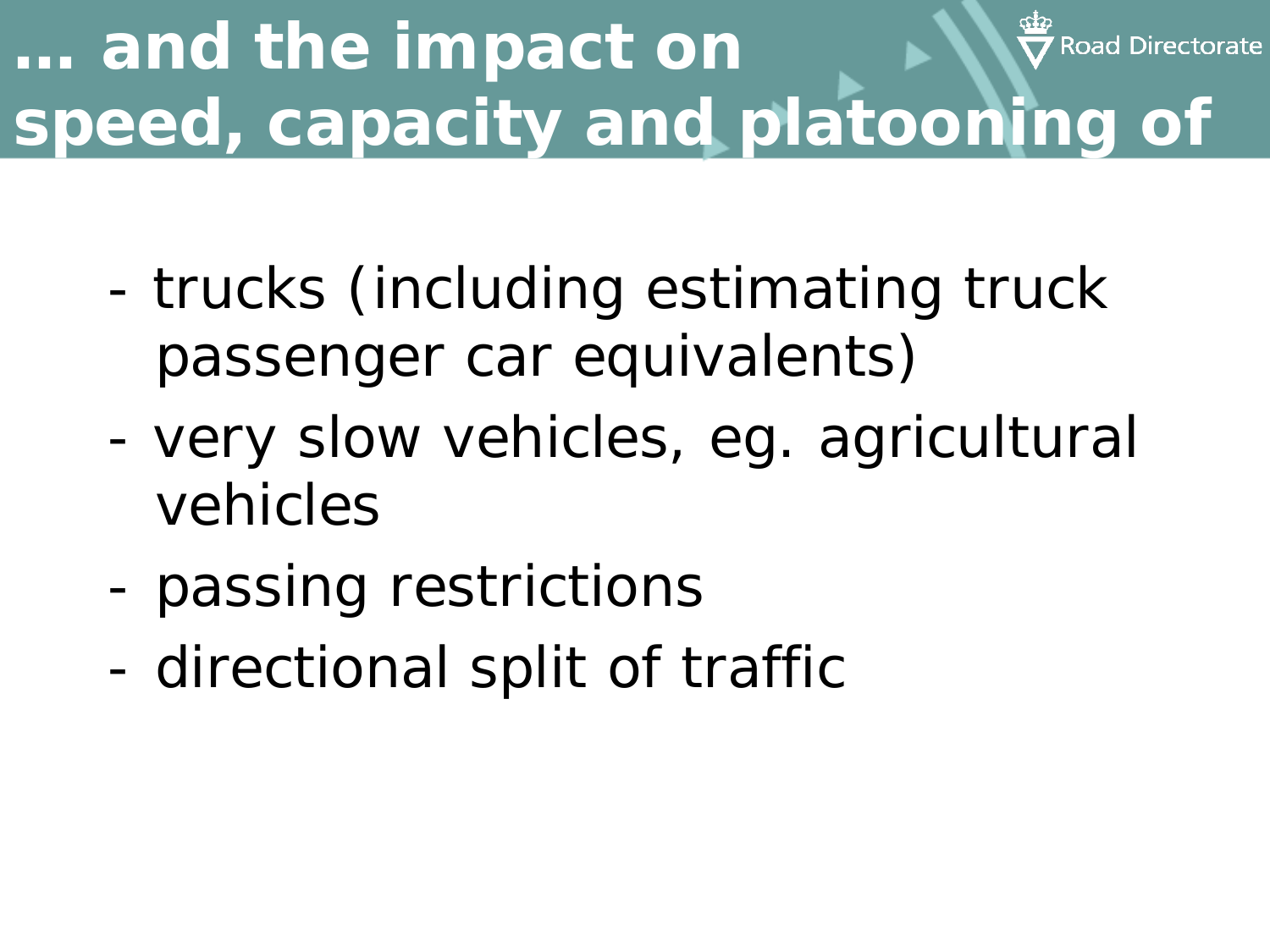#### **… and the impact on**  Road Directorate **speed, capacity and platooning of**

- trucks (including estimating truck passenger car equivalents)
- very slow vehicles, eg. agricultural vehicles
- passing restrictions
- directional split of traffic